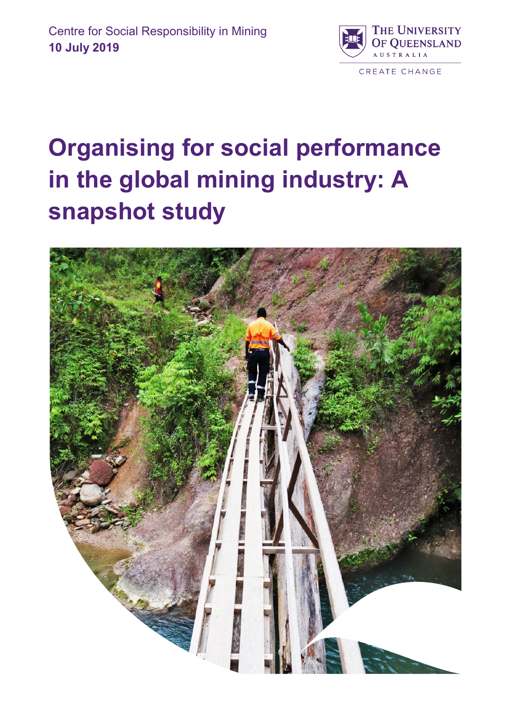

# **Organising for social performance in the global mining industry: A snapshot study**

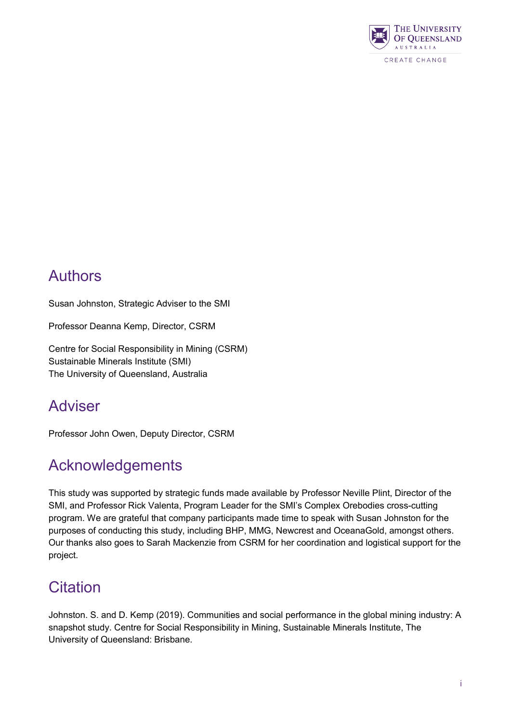

# Authors

Susan Johnston, Strategic Adviser to the SMI

Professor Deanna Kemp, Director, CSRM

Centre for Social Responsibility in Mining (CSRM) Sustainable Minerals Institute (SMI) The University of Queensland, Australia

### Adviser

Professor John Owen, Deputy Director, CSRM

### Acknowledgements

This study was supported by strategic funds made available by Professor Neville Plint, Director of the SMI, and Professor Rick Valenta, Program Leader for the SMI's Complex Orebodies cross-cutting program. We are grateful that company participants made time to speak with Susan Johnston for the purposes of conducting this study, including BHP, MMG, Newcrest and OceanaGold, amongst others. Our thanks also goes to Sarah Mackenzie from CSRM for her coordination and logistical support for the project.

### **Citation**

Johnston. S. and D. Kemp (2019). Communities and social performance in the global mining industry: A snapshot study. Centre for Social Responsibility in Mining, Sustainable Minerals Institute, The University of Queensland: Brisbane.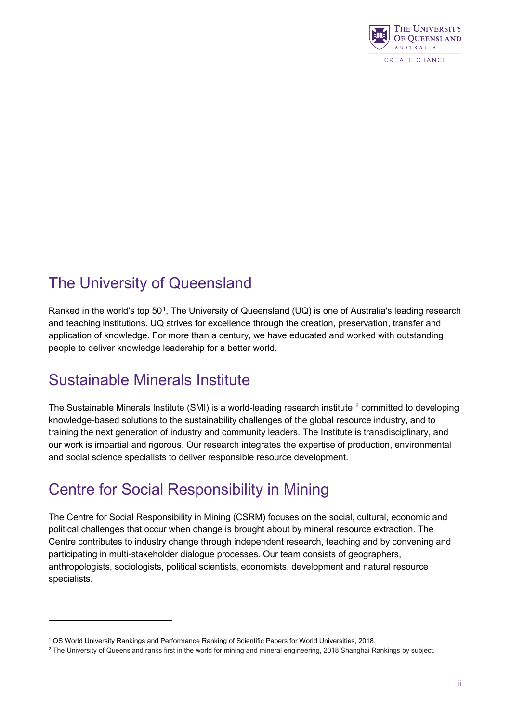

# The University of Queensland

Ranked in the world's top 50<sup>[1](#page-2-0)</sup>, The University of Queensland (UQ) is one of Australia's leading research and teaching institutions. UQ strives for excellence through the creation, preservation, transfer and application of knowledge. For more than a century, we have educated and worked with outstanding people to deliver knowledge leadership for a better world.

# Sustainable Minerals Institute

-

The Sustainable Minerals Institute (SMI) is a world-leading research institute <sup>[2](#page-2-1)</sup> committed to developing knowledge-based solutions to the sustainability challenges of the global resource industry, and to training the next generation of industry and community leaders. The Institute is transdisciplinary, and our work is impartial and rigorous. Our research integrates the expertise of production, environmental and social science specialists to deliver responsible resource development.

# Centre for Social Responsibility in Mining

The Centre for Social Responsibility in Mining (CSRM) focuses on the social, cultural, economic and political challenges that occur when change is brought about by mineral resource extraction. The Centre contributes to industry change through independent research, teaching and by convening and participating in multi-stakeholder dialogue processes. Our team consists of geographers, anthropologists, sociologists, political scientists, economists, development and natural resource specialists.

<span id="page-2-0"></span><sup>1</sup> QS World University Rankings and Performance Ranking of Scientific Papers for World Universities, 2018.

<span id="page-2-1"></span><sup>&</sup>lt;sup>2</sup> The University of Queensland ranks first in the world for mining and mineral engineering, 2018 Shanghai Rankings by subject.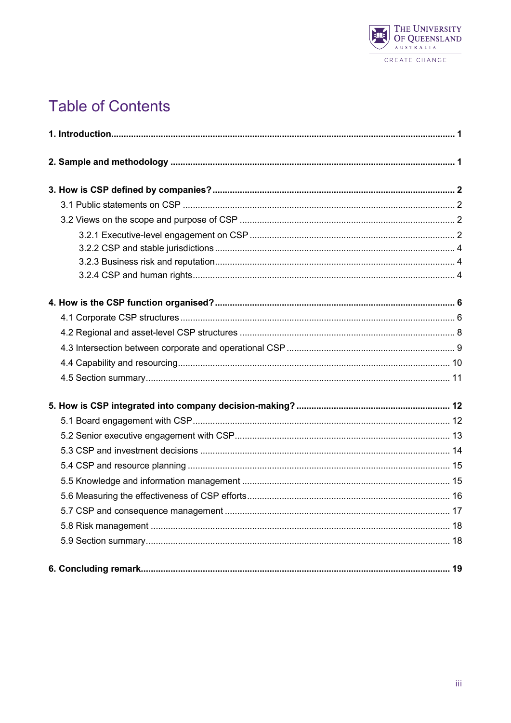

# **Table of Contents**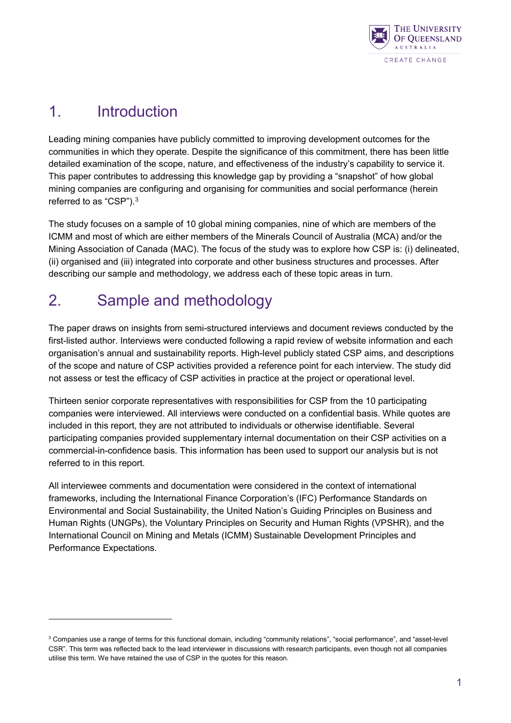

# <span id="page-4-0"></span>1. Introduction

<u>.</u>

Leading mining companies have publicly committed to improving development outcomes for the communities in which they operate. Despite the significance of this commitment, there has been little detailed examination of the scope, nature, and effectiveness of the industry's capability to service it. This paper contributes to addressing this knowledge gap by providing a "snapshot" of how global mining companies are configuring and organising for communities and social performance (herein referred to as "CSP"). $^3$  $^3$ 

The study focuses on a sample of 10 global mining companies, nine of which are members of the ICMM and most of which are either members of the Minerals Council of Australia (MCA) and/or the Mining Association of Canada (MAC). The focus of the study was to explore how CSP is: (i) delineated, (ii) organised and (iii) integrated into corporate and other business structures and processes. After describing our sample and methodology, we address each of these topic areas in turn.

# <span id="page-4-1"></span>2. Sample and methodology

The paper draws on insights from semi-structured interviews and document reviews conducted by the first-listed author. Interviews were conducted following a rapid review of website information and each organisation's annual and sustainability reports. High-level publicly stated CSP aims, and descriptions of the scope and nature of CSP activities provided a reference point for each interview. The study did not assess or test the efficacy of CSP activities in practice at the project or operational level.

Thirteen senior corporate representatives with responsibilities for CSP from the 10 participating companies were interviewed. All interviews were conducted on a confidential basis. While quotes are included in this report, they are not attributed to individuals or otherwise identifiable. Several participating companies provided supplementary internal documentation on their CSP activities on a commercial-in-confidence basis. This information has been used to support our analysis but is not referred to in this report.

All interviewee comments and documentation were considered in the context of international frameworks, including the International Finance Corporation's (IFC) Performance Standards on Environmental and Social Sustainability, the United Nation's Guiding Principles on Business and Human Rights (UNGPs), the Voluntary Principles on Security and Human Rights (VPSHR), and the International Council on Mining and Metals (ICMM) Sustainable Development Principles and Performance Expectations.

<span id="page-4-2"></span><sup>&</sup>lt;sup>3</sup> Companies use a range of terms for this functional domain, including "community relations", "social performance", and "asset-level CSR". This term was reflected back to the lead interviewer in discussions with research participants, even though not all companies utilise this term. We have retained the use of CSP in the quotes for this reason.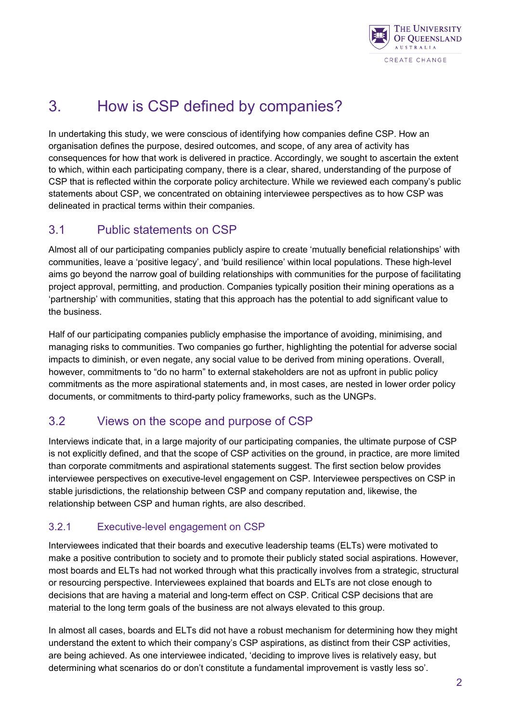

# <span id="page-5-0"></span>3. How is CSP defined by companies?

In undertaking this study, we were conscious of identifying how companies define CSP. How an organisation defines the purpose, desired outcomes, and scope, of any area of activity has consequences for how that work is delivered in practice. Accordingly, we sought to ascertain the extent to which, within each participating company, there is a clear, shared, understanding of the purpose of CSP that is reflected within the corporate policy architecture. While we reviewed each company's public statements about CSP, we concentrated on obtaining interviewee perspectives as to how CSP was delineated in practical terms within their companies.

#### <span id="page-5-1"></span>3.1 Public statements on CSP

Almost all of our participating companies publicly aspire to create 'mutually beneficial relationships' with communities, leave a 'positive legacy', and 'build resilience' within local populations. These high-level aims go beyond the narrow goal of building relationships with communities for the purpose of facilitating project approval, permitting, and production. Companies typically position their mining operations as a 'partnership' with communities, stating that this approach has the potential to add significant value to the business.

Half of our participating companies publicly emphasise the importance of avoiding, minimising, and managing risks to communities. Two companies go further, highlighting the potential for adverse social impacts to diminish, or even negate, any social value to be derived from mining operations. Overall, however, commitments to "do no harm" to external stakeholders are not as upfront in public policy commitments as the more aspirational statements and, in most cases, are nested in lower order policy documents, or commitments to third-party policy frameworks, such as the UNGPs.

#### <span id="page-5-2"></span>3.2 Views on the scope and purpose of CSP

Interviews indicate that, in a large majority of our participating companies, the ultimate purpose of CSP is not explicitly defined, and that the scope of CSP activities on the ground, in practice, are more limited than corporate commitments and aspirational statements suggest. The first section below provides interviewee perspectives on executive-level engagement on CSP. Interviewee perspectives on CSP in stable jurisdictions, the relationship between CSP and company reputation and, likewise, the relationship between CSP and human rights, are also described.

#### <span id="page-5-3"></span>3.2.1 Executive-level engagement on CSP

Interviewees indicated that their boards and executive leadership teams (ELTs) were motivated to make a positive contribution to society and to promote their publicly stated social aspirations. However, most boards and ELTs had not worked through what this practically involves from a strategic, structural or resourcing perspective. Interviewees explained that boards and ELTs are not close enough to decisions that are having a material and long-term effect on CSP. Critical CSP decisions that are material to the long term goals of the business are not always elevated to this group.

In almost all cases, boards and ELTs did not have a robust mechanism for determining how they might understand the extent to which their company's CSP aspirations, as distinct from their CSP activities, are being achieved. As one interviewee indicated, 'deciding to improve lives is relatively easy, but determining what scenarios do or don't constitute a fundamental improvement is vastly less so'.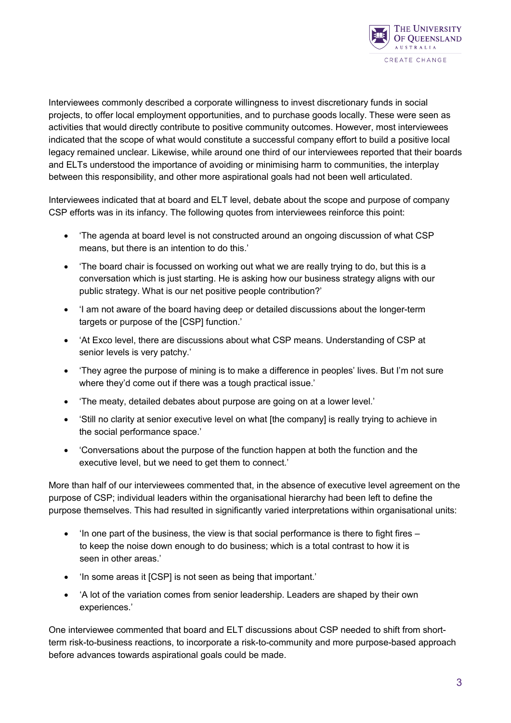

Interviewees commonly described a corporate willingness to invest discretionary funds in social projects, to offer local employment opportunities, and to purchase goods locally. These were seen as activities that would directly contribute to positive community outcomes. However, most interviewees indicated that the scope of what would constitute a successful company effort to build a positive local legacy remained unclear. Likewise, while around one third of our interviewees reported that their boards and ELTs understood the importance of avoiding or minimising harm to communities, the interplay between this responsibility, and other more aspirational goals had not been well articulated.

Interviewees indicated that at board and ELT level, debate about the scope and purpose of company CSP efforts was in its infancy. The following quotes from interviewees reinforce this point:

- 'The agenda at board level is not constructed around an ongoing discussion of what CSP means, but there is an intention to do this.'
- 'The board chair is focussed on working out what we are really trying to do, but this is a conversation which is just starting. He is asking how our business strategy aligns with our public strategy. What is our net positive people contribution?'
- 'I am not aware of the board having deep or detailed discussions about the longer-term targets or purpose of the [CSP] function.'
- 'At Exco level, there are discussions about what CSP means. Understanding of CSP at senior levels is very patchy.'
- 'They agree the purpose of mining is to make a difference in peoples' lives. But I'm not sure where they'd come out if there was a tough practical issue.'
- 'The meaty, detailed debates about purpose are going on at a lower level.'
- 'Still no clarity at senior executive level on what [the company] is really trying to achieve in the social performance space.'
- 'Conversations about the purpose of the function happen at both the function and the executive level, but we need to get them to connect.'

More than half of our interviewees commented that, in the absence of executive level agreement on the purpose of CSP; individual leaders within the organisational hierarchy had been left to define the purpose themselves. This had resulted in significantly varied interpretations within organisational units:

- $\bullet$  'In one part of the business, the view is that social performance is there to fight fires  $$ to keep the noise down enough to do business; which is a total contrast to how it is seen in other areas.'
- 'In some areas it [CSP] is not seen as being that important.'
- 'A lot of the variation comes from senior leadership. Leaders are shaped by their own experiences.'

One interviewee commented that board and ELT discussions about CSP needed to shift from shortterm risk-to-business reactions, to incorporate a risk-to-community and more purpose-based approach before advances towards aspirational goals could be made.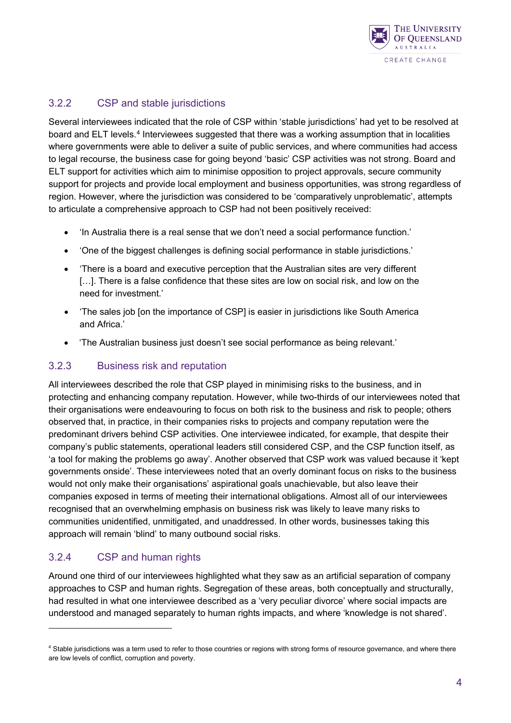

#### <span id="page-7-0"></span>3.2.2 CSP and stable jurisdictions

Several interviewees indicated that the role of CSP within 'stable jurisdictions' had yet to be resolved at board and ELT levels.[4](#page-7-3) Interviewees suggested that there was a working assumption that in localities where governments were able to deliver a suite of public services, and where communities had access to legal recourse, the business case for going beyond 'basic' CSP activities was not strong. Board and ELT support for activities which aim to minimise opposition to project approvals, secure community support for projects and provide local employment and business opportunities, was strong regardless of region. However, where the jurisdiction was considered to be 'comparatively unproblematic', attempts to articulate a comprehensive approach to CSP had not been positively received:

- 'In Australia there is a real sense that we don't need a social performance function.'
- 'One of the biggest challenges is defining social performance in stable jurisdictions.'
- 'There is a board and executive perception that the Australian sites are very different [...]. There is a false confidence that these sites are low on social risk, and low on the need for investment.'
- 'The sales job [on the importance of CSP] is easier in jurisdictions like South America and Africa.'
- 'The Australian business just doesn't see social performance as being relevant.'

#### <span id="page-7-1"></span>3.2.3 Business risk and reputation

All interviewees described the role that CSP played in minimising risks to the business, and in protecting and enhancing company reputation. However, while two-thirds of our interviewees noted that their organisations were endeavouring to focus on both risk to the business and risk to people; others observed that, in practice, in their companies risks to projects and company reputation were the predominant drivers behind CSP activities. One interviewee indicated, for example, that despite their company's public statements, operational leaders still considered CSP, and the CSP function itself, as 'a tool for making the problems go away'. Another observed that CSP work was valued because it 'kept governments onside'. These interviewees noted that an overly dominant focus on risks to the business would not only make their organisations' aspirational goals unachievable, but also leave their companies exposed in terms of meeting their international obligations. Almost all of our interviewees recognised that an overwhelming emphasis on business risk was likely to leave many risks to communities unidentified, unmitigated, and unaddressed. In other words, businesses taking this approach will remain 'blind' to many outbound social risks.

#### <span id="page-7-2"></span>3.2.4 CSP and human rights

-

Around one third of our interviewees highlighted what they saw as an artificial separation of company approaches to CSP and human rights. Segregation of these areas, both conceptually and structurally, had resulted in what one interviewee described as a 'very peculiar divorce' where social impacts are understood and managed separately to human rights impacts, and where 'knowledge is not shared'.

<span id="page-7-3"></span><sup>&</sup>lt;sup>4</sup> Stable jurisdictions was a term used to refer to those countries or regions with strong forms of resource governance, and where there are low levels of conflict, corruption and poverty.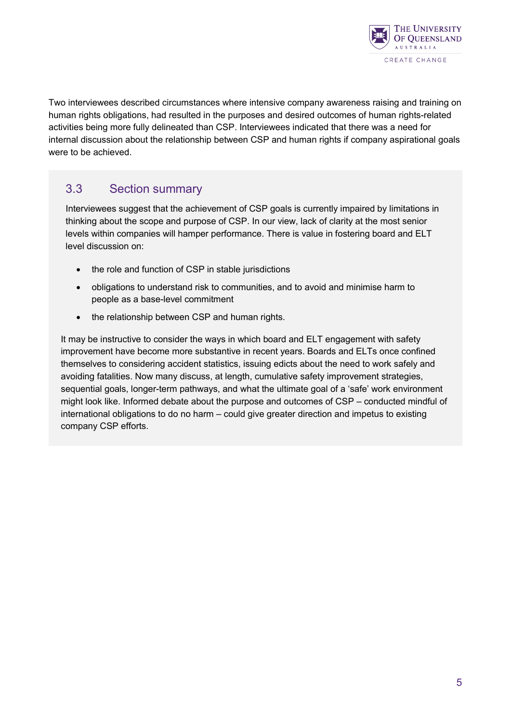

Two interviewees described circumstances where intensive company awareness raising and training on human rights obligations, had resulted in the purposes and desired outcomes of human rights-related activities being more fully delineated than CSP. Interviewees indicated that there was a need for internal discussion about the relationship between CSP and human rights if company aspirational goals were to be achieved.

#### 3.3 Section summary

Interviewees suggest that the achievement of CSP goals is currently impaired by limitations in thinking about the scope and purpose of CSP. In our view, lack of clarity at the most senior levels within companies will hamper performance. There is value in fostering board and ELT level discussion on:

- the role and function of CSP in stable jurisdictions
- obligations to understand risk to communities, and to avoid and minimise harm to people as a base-level commitment
- the relationship between CSP and human rights.

<span id="page-8-0"></span>It may be instructive to consider the ways in which board and ELT engagement with safety improvement have become more substantive in recent years. Boards and ELTs once confined themselves to considering accident statistics, issuing edicts about the need to work safely and avoiding fatalities. Now many discuss, at length, cumulative safety improvement strategies, sequential goals, longer-term pathways, and what the ultimate goal of a 'safe' work environment might look like. Informed debate about the purpose and outcomes of CSP – conducted mindful of international obligations to do no harm – could give greater direction and impetus to existing company CSP efforts.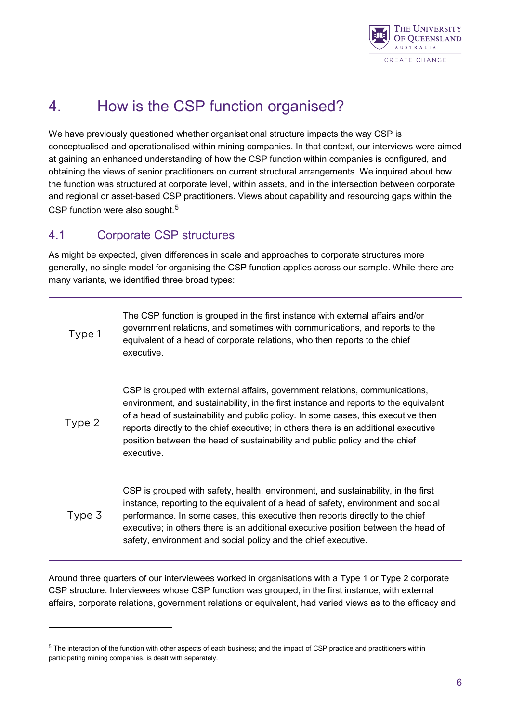

# 4. How is the CSP function organised?

We have previously questioned whether organisational structure impacts the way CSP is conceptualised and operationalised within mining companies. In that context, our interviews were aimed at gaining an enhanced understanding of how the CSP function within companies is configured, and obtaining the views of senior practitioners on current structural arrangements. We inquired about how the function was structured at corporate level, within assets, and in the intersection between corporate and regional or asset-based CSP practitioners. Views about capability and resourcing gaps within the CSP function were also sought.<sup>[5](#page-9-1)</sup>

#### <span id="page-9-0"></span>4.1 Corporate CSP structures

-

As might be expected, given differences in scale and approaches to corporate structures more generally, no single model for organising the CSP function applies across our sample. While there are many variants, we identified three broad types:

| Type 1 | The CSP function is grouped in the first instance with external affairs and/or<br>government relations, and sometimes with communications, and reports to the<br>equivalent of a head of corporate relations, who then reports to the chief<br>executive.                                                                                                                                                                                    |
|--------|----------------------------------------------------------------------------------------------------------------------------------------------------------------------------------------------------------------------------------------------------------------------------------------------------------------------------------------------------------------------------------------------------------------------------------------------|
| Type 2 | CSP is grouped with external affairs, government relations, communications,<br>environment, and sustainability, in the first instance and reports to the equivalent<br>of a head of sustainability and public policy. In some cases, this executive then<br>reports directly to the chief executive; in others there is an additional executive<br>position between the head of sustainability and public policy and the chief<br>executive. |
| Type 3 | CSP is grouped with safety, health, environment, and sustainability, in the first<br>instance, reporting to the equivalent of a head of safety, environment and social<br>performance. In some cases, this executive then reports directly to the chief<br>executive; in others there is an additional executive position between the head of<br>safety, environment and social policy and the chief executive.                              |

Around three quarters of our interviewees worked in organisations with a Type 1 or Type 2 corporate CSP structure. Interviewees whose CSP function was grouped, in the first instance, with external affairs, corporate relations, government relations or equivalent, had varied views as to the efficacy and

<span id="page-9-1"></span><sup>&</sup>lt;sup>5</sup> The interaction of the function with other aspects of each business; and the impact of CSP practice and practitioners within participating mining companies, is dealt with separately.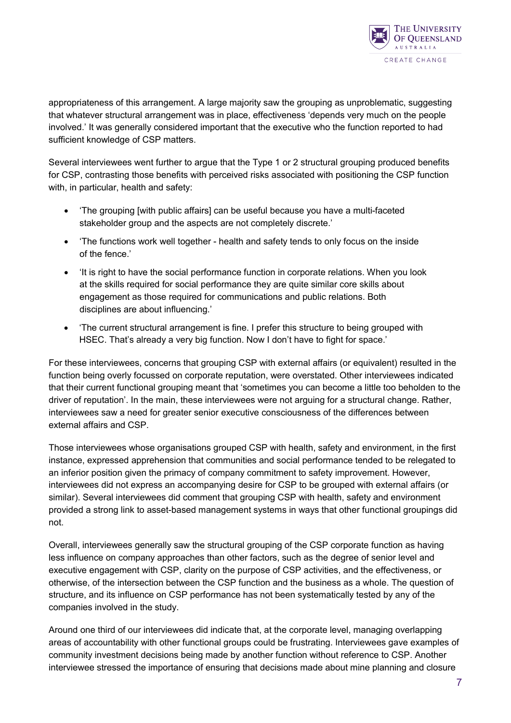

appropriateness of this arrangement. A large majority saw the grouping as unproblematic, suggesting that whatever structural arrangement was in place, effectiveness 'depends very much on the people involved.' It was generally considered important that the executive who the function reported to had sufficient knowledge of CSP matters.

Several interviewees went further to argue that the Type 1 or 2 structural grouping produced benefits for CSP, contrasting those benefits with perceived risks associated with positioning the CSP function with, in particular, health and safety:

- 'The grouping [with public affairs] can be useful because you have a multi-faceted stakeholder group and the aspects are not completely discrete.'
- 'The functions work well together health and safety tends to only focus on the inside of the fence.'
- 'It is right to have the social performance function in corporate relations. When you look at the skills required for social performance they are quite similar core skills about engagement as those required for communications and public relations. Both disciplines are about influencing.'
- 'The current structural arrangement is fine. I prefer this structure to being grouped with HSEC. That's already a very big function. Now I don't have to fight for space.'

For these interviewees, concerns that grouping CSP with external affairs (or equivalent) resulted in the function being overly focussed on corporate reputation, were overstated. Other interviewees indicated that their current functional grouping meant that 'sometimes you can become a little too beholden to the driver of reputation'. In the main, these interviewees were not arguing for a structural change. Rather, interviewees saw a need for greater senior executive consciousness of the differences between external affairs and CSP.

Those interviewees whose organisations grouped CSP with health, safety and environment, in the first instance, expressed apprehension that communities and social performance tended to be relegated to an inferior position given the primacy of company commitment to safety improvement. However, interviewees did not express an accompanying desire for CSP to be grouped with external affairs (or similar). Several interviewees did comment that grouping CSP with health, safety and environment provided a strong link to asset-based management systems in ways that other functional groupings did not.

Overall, interviewees generally saw the structural grouping of the CSP corporate function as having less influence on company approaches than other factors, such as the degree of senior level and executive engagement with CSP, clarity on the purpose of CSP activities, and the effectiveness, or otherwise, of the intersection between the CSP function and the business as a whole. The question of structure, and its influence on CSP performance has not been systematically tested by any of the companies involved in the study.

Around one third of our interviewees did indicate that, at the corporate level, managing overlapping areas of accountability with other functional groups could be frustrating. Interviewees gave examples of community investment decisions being made by another function without reference to CSP. Another interviewee stressed the importance of ensuring that decisions made about mine planning and closure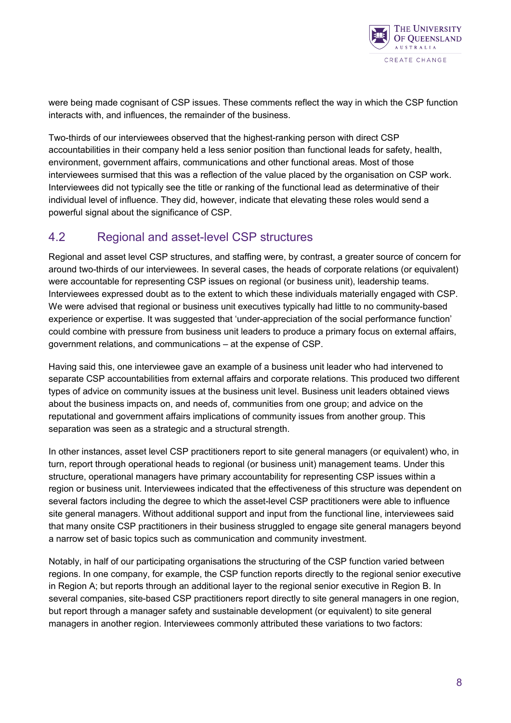

were being made cognisant of CSP issues. These comments reflect the way in which the CSP function interacts with, and influences, the remainder of the business.

Two-thirds of our interviewees observed that the highest-ranking person with direct CSP accountabilities in their company held a less senior position than functional leads for safety, health, environment, government affairs, communications and other functional areas. Most of those interviewees surmised that this was a reflection of the value placed by the organisation on CSP work. Interviewees did not typically see the title or ranking of the functional lead as determinative of their individual level of influence. They did, however, indicate that elevating these roles would send a powerful signal about the significance of CSP.

#### <span id="page-11-0"></span>4.2 Regional and asset-level CSP structures

Regional and asset level CSP structures, and staffing were, by contrast, a greater source of concern for around two-thirds of our interviewees. In several cases, the heads of corporate relations (or equivalent) were accountable for representing CSP issues on regional (or business unit), leadership teams. Interviewees expressed doubt as to the extent to which these individuals materially engaged with CSP. We were advised that regional or business unit executives typically had little to no community-based experience or expertise. It was suggested that 'under-appreciation of the social performance function' could combine with pressure from business unit leaders to produce a primary focus on external affairs, government relations, and communications – at the expense of CSP.

Having said this, one interviewee gave an example of a business unit leader who had intervened to separate CSP accountabilities from external affairs and corporate relations. This produced two different types of advice on community issues at the business unit level. Business unit leaders obtained views about the business impacts on, and needs of, communities from one group; and advice on the reputational and government affairs implications of community issues from another group. This separation was seen as a strategic and a structural strength.

In other instances, asset level CSP practitioners report to site general managers (or equivalent) who, in turn, report through operational heads to regional (or business unit) management teams. Under this structure, operational managers have primary accountability for representing CSP issues within a region or business unit. Interviewees indicated that the effectiveness of this structure was dependent on several factors including the degree to which the asset-level CSP practitioners were able to influence site general managers. Without additional support and input from the functional line, interviewees said that many onsite CSP practitioners in their business struggled to engage site general managers beyond a narrow set of basic topics such as communication and community investment.

Notably, in half of our participating organisations the structuring of the CSP function varied between regions. In one company, for example, the CSP function reports directly to the regional senior executive in Region A; but reports through an additional layer to the regional senior executive in Region B. In several companies, site-based CSP practitioners report directly to site general managers in one region, but report through a manager safety and sustainable development (or equivalent) to site general managers in another region. Interviewees commonly attributed these variations to two factors: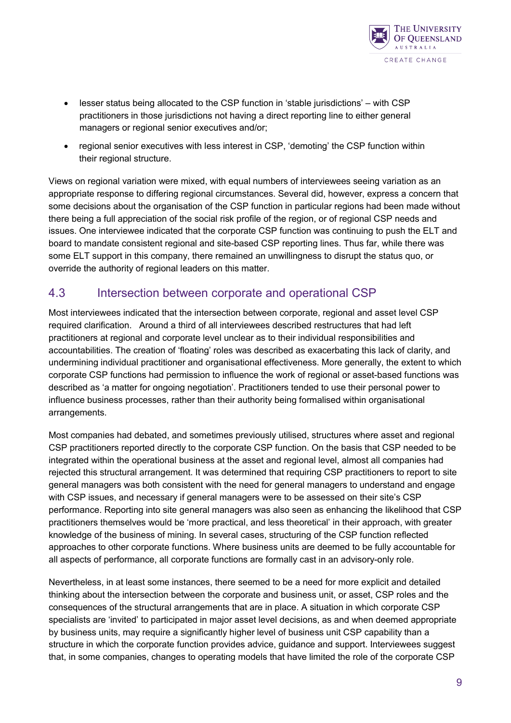

- lesser status being allocated to the CSP function in 'stable jurisdictions' with CSP practitioners in those jurisdictions not having a direct reporting line to either general managers or regional senior executives and/or;
- regional senior executives with less interest in CSP, 'demoting' the CSP function within their regional structure.

Views on regional variation were mixed, with equal numbers of interviewees seeing variation as an appropriate response to differing regional circumstances. Several did, however, express a concern that some decisions about the organisation of the CSP function in particular regions had been made without there being a full appreciation of the social risk profile of the region, or of regional CSP needs and issues. One interviewee indicated that the corporate CSP function was continuing to push the ELT and board to mandate consistent regional and site-based CSP reporting lines. Thus far, while there was some ELT support in this company, there remained an unwillingness to disrupt the status quo, or override the authority of regional leaders on this matter.

#### <span id="page-12-0"></span>4.3 Intersection between corporate and operational CSP

Most interviewees indicated that the intersection between corporate, regional and asset level CSP required clarification. Around a third of all interviewees described restructures that had left practitioners at regional and corporate level unclear as to their individual responsibilities and accountabilities. The creation of 'floating' roles was described as exacerbating this lack of clarity, and undermining individual practitioner and organisational effectiveness. More generally, the extent to which corporate CSP functions had permission to influence the work of regional or asset-based functions was described as 'a matter for ongoing negotiation'. Practitioners tended to use their personal power to influence business processes, rather than their authority being formalised within organisational arrangements.

Most companies had debated, and sometimes previously utilised, structures where asset and regional CSP practitioners reported directly to the corporate CSP function. On the basis that CSP needed to be integrated within the operational business at the asset and regional level, almost all companies had rejected this structural arrangement. It was determined that requiring CSP practitioners to report to site general managers was both consistent with the need for general managers to understand and engage with CSP issues, and necessary if general managers were to be assessed on their site's CSP performance. Reporting into site general managers was also seen as enhancing the likelihood that CSP practitioners themselves would be 'more practical, and less theoretical' in their approach, with greater knowledge of the business of mining. In several cases, structuring of the CSP function reflected approaches to other corporate functions. Where business units are deemed to be fully accountable for all aspects of performance, all corporate functions are formally cast in an advisory-only role.

Nevertheless, in at least some instances, there seemed to be a need for more explicit and detailed thinking about the intersection between the corporate and business unit, or asset, CSP roles and the consequences of the structural arrangements that are in place. A situation in which corporate CSP specialists are 'invited' to participated in major asset level decisions, as and when deemed appropriate by business units, may require a significantly higher level of business unit CSP capability than a structure in which the corporate function provides advice, guidance and support. Interviewees suggest that, in some companies, changes to operating models that have limited the role of the corporate CSP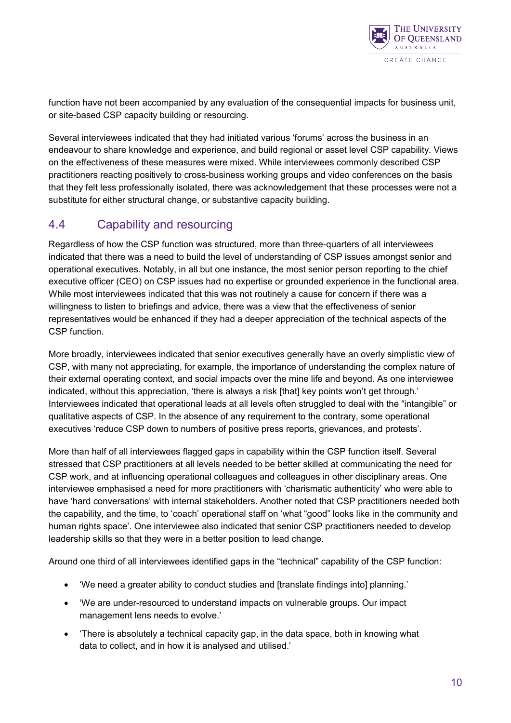

function have not been accompanied by any evaluation of the consequential impacts for business unit, or site-based CSP capacity building or resourcing.

Several interviewees indicated that they had initiated various 'forums' across the business in an endeavour to share knowledge and experience, and build regional or asset level CSP capability. Views on the effectiveness of these measures were mixed. While interviewees commonly described CSP practitioners reacting positively to cross-business working groups and video conferences on the basis that they felt less professionally isolated, there was acknowledgement that these processes were not a substitute for either structural change, or substantive capacity building.

#### <span id="page-13-0"></span>4.4 Capability and resourcing

Regardless of how the CSP function was structured, more than three-quarters of all interviewees indicated that there was a need to build the level of understanding of CSP issues amongst senior and operational executives. Notably, in all but one instance, the most senior person reporting to the chief executive officer (CEO) on CSP issues had no expertise or grounded experience in the functional area. While most interviewees indicated that this was not routinely a cause for concern if there was a willingness to listen to briefings and advice, there was a view that the effectiveness of senior representatives would be enhanced if they had a deeper appreciation of the technical aspects of the CSP function.

More broadly, interviewees indicated that senior executives generally have an overly simplistic view of CSP, with many not appreciating, for example, the importance of understanding the complex nature of their external operating context, and social impacts over the mine life and beyond. As one interviewee indicated, without this appreciation, 'there is always a risk [that] key points won't get through.' Interviewees indicated that operational leads at all levels often struggled to deal with the "intangible" or qualitative aspects of CSP. In the absence of any requirement to the contrary, some operational executives 'reduce CSP down to numbers of positive press reports, grievances, and protests'.

More than half of all interviewees flagged gaps in capability within the CSP function itself. Several stressed that CSP practitioners at all levels needed to be better skilled at communicating the need for CSP work, and at influencing operational colleagues and colleagues in other disciplinary areas. One interviewee emphasised a need for more practitioners with 'charismatic authenticity' who were able to have 'hard conversations' with internal stakeholders. Another noted that CSP practitioners needed both the capability, and the time, to 'coach' operational staff on 'what "good" looks like in the community and human rights space'. One interviewee also indicated that senior CSP practitioners needed to develop leadership skills so that they were in a better position to lead change.

Around one third of all interviewees identified gaps in the "technical" capability of the CSP function:

- 'We need a greater ability to conduct studies and [translate findings into] planning.'
- 'We are under-resourced to understand impacts on vulnerable groups. Our impact management lens needs to evolve.'
- 'There is absolutely a technical capacity gap, in the data space, both in knowing what data to collect, and in how it is analysed and utilised.'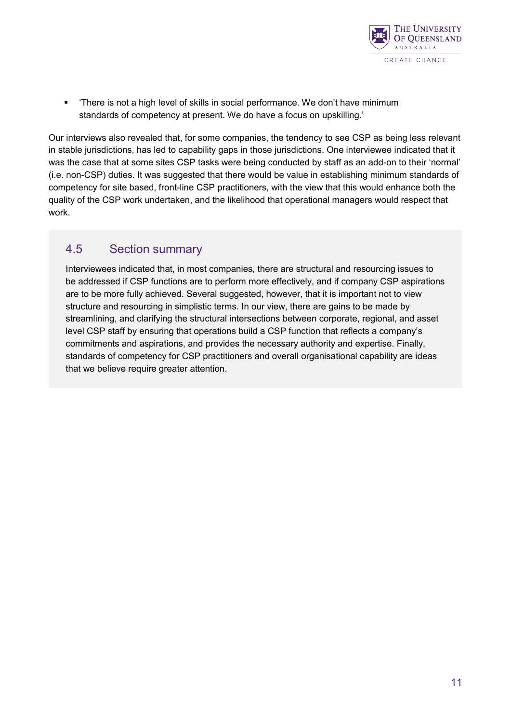

 'There is not a high level of skills in social performance. We don't have minimum standards of competency at present. We do have a focus on upskilling.'

Our interviews also revealed that, for some companies, the tendency to see CSP as being less relevant in stable jurisdictions, has led to capability gaps in those jurisdictions. One interviewee indicated that it was the case that at some sites CSP tasks were being conducted by staff as an add-on to their 'normal' (i.e. non-CSP) duties. It was suggested that there would be value in establishing minimum standards of competency for site based, front-line CSP practitioners, with the view that this would enhance both the quality of the CSP work undertaken, and the likelihood that operational managers would respect that work.

#### <span id="page-14-0"></span>4.5 Section summary

Interviewees indicated that, in most companies, there are structural and resourcing issues to be addressed if CSP functions are to perform more effectively, and if company CSP aspirations are to be more fully achieved. Several suggested, however, that it is important not to view structure and resourcing in simplistic terms. In our view, there are gains to be made by streamlining, and clarifying the structural intersections between corporate, regional, and asset level CSP staff by ensuring that operations build a CSP function that reflects a company's commitments and aspirations, and provides the necessary authority and expertise. Finally, standards of competency for CSP practitioners and overall organisational capability are ideas that we believe require greater attention.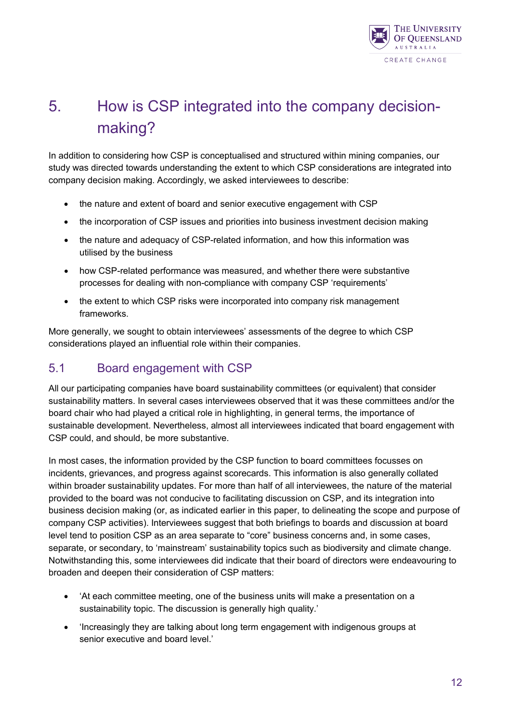

# <span id="page-15-0"></span>5. How is CSP integrated into the company decisionmaking?

In addition to considering how CSP is conceptualised and structured within mining companies, our study was directed towards understanding the extent to which CSP considerations are integrated into company decision making. Accordingly, we asked interviewees to describe:

- the nature and extent of board and senior executive engagement with CSP
- the incorporation of CSP issues and priorities into business investment decision making
- the nature and adequacy of CSP-related information, and how this information was utilised by the business
- how CSP-related performance was measured, and whether there were substantive processes for dealing with non-compliance with company CSP 'requirements'
- the extent to which CSP risks were incorporated into company risk management frameworks.

More generally, we sought to obtain interviewees' assessments of the degree to which CSP considerations played an influential role within their companies.

#### <span id="page-15-1"></span>5.1 Board engagement with CSP

All our participating companies have board sustainability committees (or equivalent) that consider sustainability matters. In several cases interviewees observed that it was these committees and/or the board chair who had played a critical role in highlighting, in general terms, the importance of sustainable development. Nevertheless, almost all interviewees indicated that board engagement with CSP could, and should, be more substantive.

In most cases, the information provided by the CSP function to board committees focusses on incidents, grievances, and progress against scorecards. This information is also generally collated within broader sustainability updates. For more than half of all interviewees, the nature of the material provided to the board was not conducive to facilitating discussion on CSP, and its integration into business decision making (or, as indicated earlier in this paper, to delineating the scope and purpose of company CSP activities). Interviewees suggest that both briefings to boards and discussion at board level tend to position CSP as an area separate to "core" business concerns and, in some cases, separate, or secondary, to 'mainstream' sustainability topics such as biodiversity and climate change. Notwithstanding this, some interviewees did indicate that their board of directors were endeavouring to broaden and deepen their consideration of CSP matters:

- 'At each committee meeting, one of the business units will make a presentation on a sustainability topic. The discussion is generally high quality.'
- 'Increasingly they are talking about long term engagement with indigenous groups at senior executive and board level.'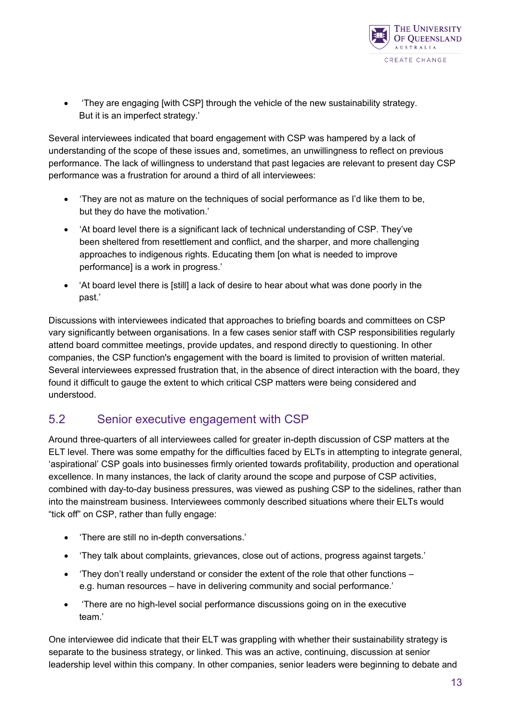

• 'They are engaging [with CSP] through the vehicle of the new sustainability strategy. But it is an imperfect strategy.'

Several interviewees indicated that board engagement with CSP was hampered by a lack of understanding of the scope of these issues and, sometimes, an unwillingness to reflect on previous performance. The lack of willingness to understand that past legacies are relevant to present day CSP performance was a frustration for around a third of all interviewees:

- 'They are not as mature on the techniques of social performance as I'd like them to be, but they do have the motivation.'
- 'At board level there is a significant lack of technical understanding of CSP. They've been sheltered from resettlement and conflict, and the sharper, and more challenging approaches to indigenous rights. Educating them [on what is needed to improve performance] is a work in progress.'
- 'At board level there is [still] a lack of desire to hear about what was done poorly in the past.'

Discussions with interviewees indicated that approaches to briefing boards and committees on CSP vary significantly between organisations. In a few cases senior staff with CSP responsibilities regularly attend board committee meetings, provide updates, and respond directly to questioning. In other companies, the CSP function's engagement with the board is limited to provision of written material. Several interviewees expressed frustration that, in the absence of direct interaction with the board, they found it difficult to gauge the extent to which critical CSP matters were being considered and understood.

#### <span id="page-16-0"></span>5.2 Senior executive engagement with CSP

Around three-quarters of all interviewees called for greater in-depth discussion of CSP matters at the ELT level. There was some empathy for the difficulties faced by ELTs in attempting to integrate general, 'aspirational' CSP goals into businesses firmly oriented towards profitability, production and operational excellence. In many instances, the lack of clarity around the scope and purpose of CSP activities, combined with day-to-day business pressures, was viewed as pushing CSP to the sidelines, rather than into the mainstream business. Interviewees commonly described situations where their ELTs would "tick off" on CSP, rather than fully engage:

- 'There are still no in-depth conversations.'
- 'They talk about complaints, grievances, close out of actions, progress against targets.'
- 'They don't really understand or consider the extent of the role that other functions e.g. human resources – have in delivering community and social performance.'
- 'There are no high-level social performance discussions going on in the executive team<sup>'</sup>

One interviewee did indicate that their ELT was grappling with whether their sustainability strategy is separate to the business strategy, or linked. This was an active, continuing, discussion at senior leadership level within this company. In other companies, senior leaders were beginning to debate and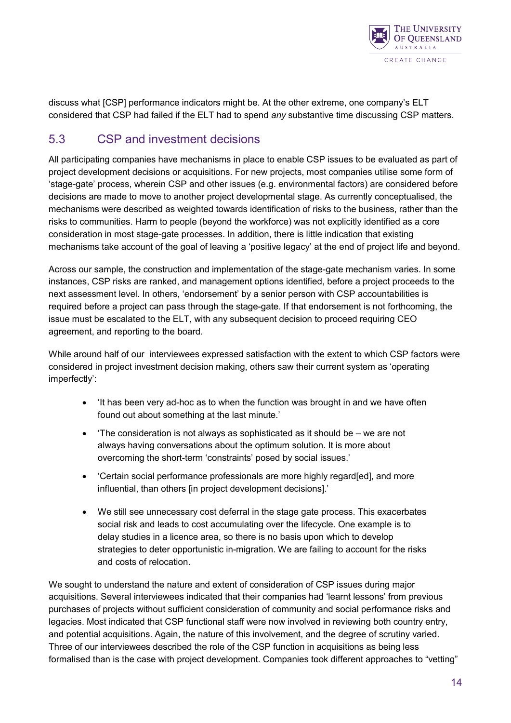

discuss what [CSP] performance indicators might be. At the other extreme, one company's ELT considered that CSP had failed if the ELT had to spend *any* substantive time discussing CSP matters.

#### <span id="page-17-0"></span>5.3 CSP and investment decisions

All participating companies have mechanisms in place to enable CSP issues to be evaluated as part of project development decisions or acquisitions. For new projects, most companies utilise some form of 'stage-gate' process, wherein CSP and other issues (e.g. environmental factors) are considered before decisions are made to move to another project developmental stage. As currently conceptualised, the mechanisms were described as weighted towards identification of risks to the business, rather than the risks to communities. Harm to people (beyond the workforce) was not explicitly identified as a core consideration in most stage-gate processes. In addition, there is little indication that existing mechanisms take account of the goal of leaving a 'positive legacy' at the end of project life and beyond.

Across our sample, the construction and implementation of the stage-gate mechanism varies. In some instances, CSP risks are ranked, and management options identified, before a project proceeds to the next assessment level. In others, 'endorsement' by a senior person with CSP accountabilities is required before a project can pass through the stage-gate. If that endorsement is not forthcoming, the issue must be escalated to the ELT, with any subsequent decision to proceed requiring CEO agreement, and reporting to the board.

While around half of our interviewees expressed satisfaction with the extent to which CSP factors were considered in project investment decision making, others saw their current system as 'operating imperfectly':

- 'It has been very ad-hoc as to when the function was brought in and we have often found out about something at the last minute.'
- 'The consideration is not always as sophisticated as it should be we are not always having conversations about the optimum solution. It is more about overcoming the short-term 'constraints' posed by social issues.'
- 'Certain social performance professionals are more highly regard[ed], and more influential, than others [in project development decisions].'
- We still see unnecessary cost deferral in the stage gate process. This exacerbates social risk and leads to cost accumulating over the lifecycle. One example is to delay studies in a licence area, so there is no basis upon which to develop strategies to deter opportunistic in-migration. We are failing to account for the risks and costs of relocation.

We sought to understand the nature and extent of consideration of CSP issues during major acquisitions. Several interviewees indicated that their companies had 'learnt lessons' from previous purchases of projects without sufficient consideration of community and social performance risks and legacies. Most indicated that CSP functional staff were now involved in reviewing both country entry, and potential acquisitions. Again, the nature of this involvement, and the degree of scrutiny varied. Three of our interviewees described the role of the CSP function in acquisitions as being less formalised than is the case with project development. Companies took different approaches to "vetting"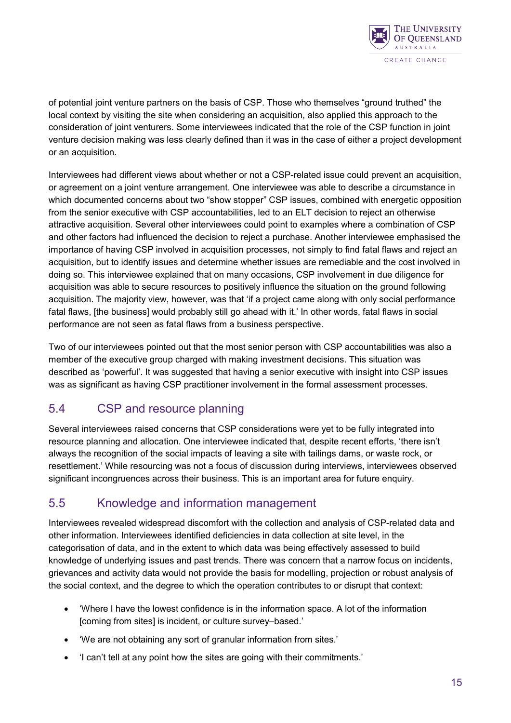

of potential joint venture partners on the basis of CSP. Those who themselves "ground truthed" the local context by visiting the site when considering an acquisition, also applied this approach to the consideration of joint venturers. Some interviewees indicated that the role of the CSP function in joint venture decision making was less clearly defined than it was in the case of either a project development or an acquisition.

Interviewees had different views about whether or not a CSP-related issue could prevent an acquisition, or agreement on a joint venture arrangement. One interviewee was able to describe a circumstance in which documented concerns about two "show stopper" CSP issues, combined with energetic opposition from the senior executive with CSP accountabilities, led to an ELT decision to reject an otherwise attractive acquisition. Several other interviewees could point to examples where a combination of CSP and other factors had influenced the decision to reject a purchase. Another interviewee emphasised the importance of having CSP involved in acquisition processes, not simply to find fatal flaws and reject an acquisition, but to identify issues and determine whether issues are remediable and the cost involved in doing so. This interviewee explained that on many occasions, CSP involvement in due diligence for acquisition was able to secure resources to positively influence the situation on the ground following acquisition. The majority view, however, was that 'if a project came along with only social performance fatal flaws, [the business] would probably still go ahead with it.' In other words, fatal flaws in social performance are not seen as fatal flaws from a business perspective.

Two of our interviewees pointed out that the most senior person with CSP accountabilities was also a member of the executive group charged with making investment decisions. This situation was described as 'powerful'. It was suggested that having a senior executive with insight into CSP issues was as significant as having CSP practitioner involvement in the formal assessment processes.

#### <span id="page-18-0"></span>5.4 CSP and resource planning

Several interviewees raised concerns that CSP considerations were yet to be fully integrated into resource planning and allocation. One interviewee indicated that, despite recent efforts, 'there isn't always the recognition of the social impacts of leaving a site with tailings dams, or waste rock, or resettlement.' While resourcing was not a focus of discussion during interviews, interviewees observed significant incongruences across their business. This is an important area for future enquiry.

#### <span id="page-18-1"></span>5.5 Knowledge and information management

Interviewees revealed widespread discomfort with the collection and analysis of CSP-related data and other information. Interviewees identified deficiencies in data collection at site level, in the categorisation of data, and in the extent to which data was being effectively assessed to build knowledge of underlying issues and past trends. There was concern that a narrow focus on incidents, grievances and activity data would not provide the basis for modelling, projection or robust analysis of the social context, and the degree to which the operation contributes to or disrupt that context:

- 'Where I have the lowest confidence is in the information space. A lot of the information [coming from sites] is incident, or culture survey–based.'
- 'We are not obtaining any sort of granular information from sites.'
- 'I can't tell at any point how the sites are going with their commitments.'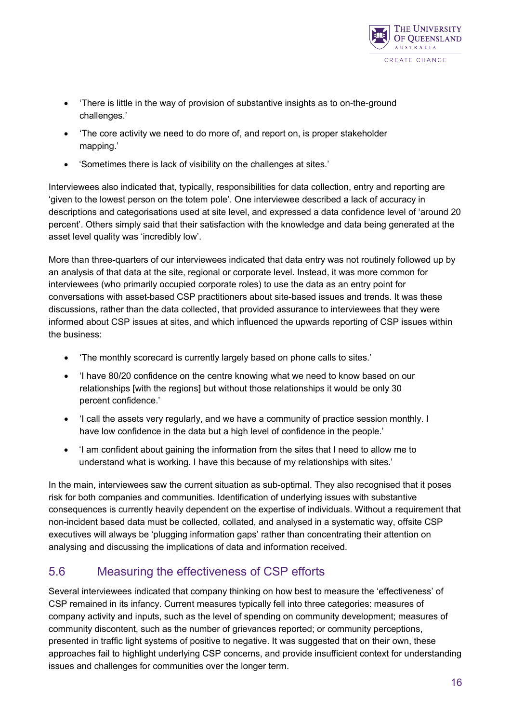

- 'There is little in the way of provision of substantive insights as to on-the-ground challenges.'
- 'The core activity we need to do more of, and report on, is proper stakeholder mapping.'
- 'Sometimes there is lack of visibility on the challenges at sites.'

Interviewees also indicated that, typically, responsibilities for data collection, entry and reporting are 'given to the lowest person on the totem pole'. One interviewee described a lack of accuracy in descriptions and categorisations used at site level, and expressed a data confidence level of 'around 20 percent'. Others simply said that their satisfaction with the knowledge and data being generated at the asset level quality was 'incredibly low'.

More than three-quarters of our interviewees indicated that data entry was not routinely followed up by an analysis of that data at the site, regional or corporate level. Instead, it was more common for interviewees (who primarily occupied corporate roles) to use the data as an entry point for conversations with asset-based CSP practitioners about site-based issues and trends. It was these discussions, rather than the data collected, that provided assurance to interviewees that they were informed about CSP issues at sites, and which influenced the upwards reporting of CSP issues within the business:

- 'The monthly scorecard is currently largely based on phone calls to sites.'
- 'I have 80/20 confidence on the centre knowing what we need to know based on our relationships [with the regions] but without those relationships it would be only 30 percent confidence.'
- 'I call the assets very regularly, and we have a community of practice session monthly. I have low confidence in the data but a high level of confidence in the people.'
- 'I am confident about gaining the information from the sites that I need to allow me to understand what is working. I have this because of my relationships with sites.'

In the main, interviewees saw the current situation as sub-optimal. They also recognised that it poses risk for both companies and communities. Identification of underlying issues with substantive consequences is currently heavily dependent on the expertise of individuals. Without a requirement that non-incident based data must be collected, collated, and analysed in a systematic way, offsite CSP executives will always be 'plugging information gaps' rather than concentrating their attention on analysing and discussing the implications of data and information received.

#### <span id="page-19-0"></span>5.6 Measuring the effectiveness of CSP efforts

Several interviewees indicated that company thinking on how best to measure the 'effectiveness' of CSP remained in its infancy. Current measures typically fell into three categories: measures of company activity and inputs, such as the level of spending on community development; measures of community discontent, such as the number of grievances reported; or community perceptions, presented in traffic light systems of positive to negative. It was suggested that on their own, these approaches fail to highlight underlying CSP concerns, and provide insufficient context for understanding issues and challenges for communities over the longer term.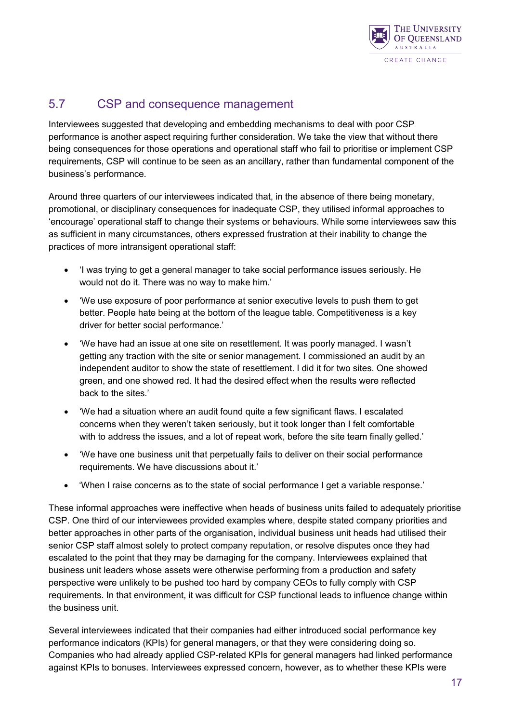

#### <span id="page-20-0"></span>5.7 CSP and consequence management

Interviewees suggested that developing and embedding mechanisms to deal with poor CSP performance is another aspect requiring further consideration. We take the view that without there being consequences for those operations and operational staff who fail to prioritise or implement CSP requirements, CSP will continue to be seen as an ancillary, rather than fundamental component of the business's performance.

Around three quarters of our interviewees indicated that, in the absence of there being monetary, promotional, or disciplinary consequences for inadequate CSP, they utilised informal approaches to 'encourage' operational staff to change their systems or behaviours. While some interviewees saw this as sufficient in many circumstances, others expressed frustration at their inability to change the practices of more intransigent operational staff:

- 'I was trying to get a general manager to take social performance issues seriously. He would not do it. There was no way to make him.'
- 'We use exposure of poor performance at senior executive levels to push them to get better. People hate being at the bottom of the league table. Competitiveness is a key driver for better social performance.'
- 'We have had an issue at one site on resettlement. It was poorly managed. I wasn't getting any traction with the site or senior management. I commissioned an audit by an independent auditor to show the state of resettlement. I did it for two sites. One showed green, and one showed red. It had the desired effect when the results were reflected back to the sites.'
- 'We had a situation where an audit found quite a few significant flaws. I escalated concerns when they weren't taken seriously, but it took longer than I felt comfortable with to address the issues, and a lot of repeat work, before the site team finally gelled.'
- 'We have one business unit that perpetually fails to deliver on their social performance requirements. We have discussions about it.'
- 'When I raise concerns as to the state of social performance I get a variable response.'

These informal approaches were ineffective when heads of business units failed to adequately prioritise CSP. One third of our interviewees provided examples where, despite stated company priorities and better approaches in other parts of the organisation, individual business unit heads had utilised their senior CSP staff almost solely to protect company reputation, or resolve disputes once they had escalated to the point that they may be damaging for the company. Interviewees explained that business unit leaders whose assets were otherwise performing from a production and safety perspective were unlikely to be pushed too hard by company CEOs to fully comply with CSP requirements. In that environment, it was difficult for CSP functional leads to influence change within the business unit.

Several interviewees indicated that their companies had either introduced social performance key performance indicators (KPIs) for general managers, or that they were considering doing so. Companies who had already applied CSP-related KPIs for general managers had linked performance against KPIs to bonuses. Interviewees expressed concern, however, as to whether these KPIs were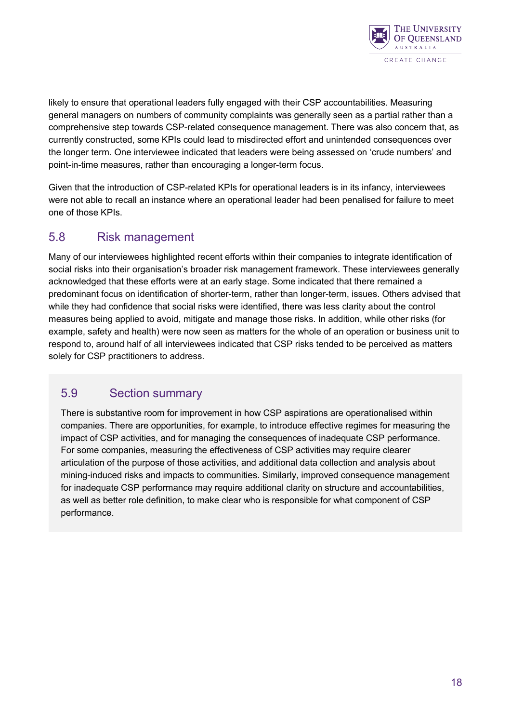

likely to ensure that operational leaders fully engaged with their CSP accountabilities. Measuring general managers on numbers of community complaints was generally seen as a partial rather than a comprehensive step towards CSP-related consequence management. There was also concern that, as currently constructed, some KPIs could lead to misdirected effort and unintended consequences over the longer term. One interviewee indicated that leaders were being assessed on 'crude numbers' and point-in-time measures, rather than encouraging a longer-term focus.

Given that the introduction of CSP-related KPIs for operational leaders is in its infancy, interviewees were not able to recall an instance where an operational leader had been penalised for failure to meet one of those KPIs.

#### <span id="page-21-0"></span>5.8 Risk management

Many of our interviewees highlighted recent efforts within their companies to integrate identification of social risks into their organisation's broader risk management framework. These interviewees generally acknowledged that these efforts were at an early stage. Some indicated that there remained a predominant focus on identification of shorter-term, rather than longer-term, issues. Others advised that while they had confidence that social risks were identified, there was less clarity about the control measures being applied to avoid, mitigate and manage those risks. In addition, while other risks (for example, safety and health) were now seen as matters for the whole of an operation or business unit to respond to, around half of all interviewees indicated that CSP risks tended to be perceived as matters solely for CSP practitioners to address.

#### <span id="page-21-1"></span>5.9 Section summary

There is substantive room for improvement in how CSP aspirations are operationalised within companies. There are opportunities, for example, to introduce effective regimes for measuring the impact of CSP activities, and for managing the consequences of inadequate CSP performance. For some companies, measuring the effectiveness of CSP activities may require clearer articulation of the purpose of those activities, and additional data collection and analysis about mining-induced risks and impacts to communities. Similarly, improved consequence management for inadequate CSP performance may require additional clarity on structure and accountabilities, as well as better role definition, to make clear who is responsible for what component of CSP performance.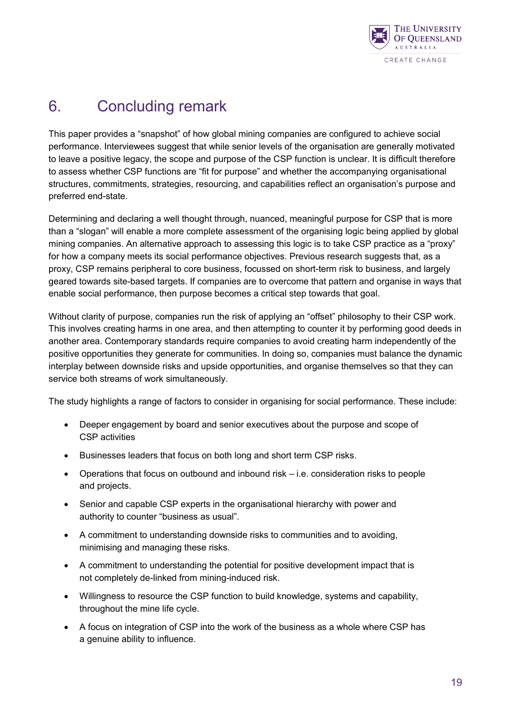

# <span id="page-22-0"></span>6. Concluding remark

This paper provides a "snapshot" of how global mining companies are configured to achieve social performance. Interviewees suggest that while senior levels of the organisation are generally motivated to leave a positive legacy, the scope and purpose of the CSP function is unclear. It is difficult therefore to assess whether CSP functions are "fit for purpose" and whether the accompanying organisational structures, commitments, strategies, resourcing, and capabilities reflect an organisation's purpose and preferred end-state.

Determining and declaring a well thought through, nuanced, meaningful purpose for CSP that is more than a "slogan" will enable a more complete assessment of the organising logic being applied by global mining companies. An alternative approach to assessing this logic is to take CSP practice as a "proxy" for how a company meets its social performance objectives. Previous research suggests that, as a proxy, CSP remains peripheral to core business, focussed on short-term risk to business, and largely geared towards site-based targets. If companies are to overcome that pattern and organise in ways that enable social performance, then purpose becomes a critical step towards that goal.

Without clarity of purpose, companies run the risk of applying an "offset" philosophy to their CSP work. This involves creating harms in one area, and then attempting to counter it by performing good deeds in another area. Contemporary standards require companies to avoid creating harm independently of the positive opportunities they generate for communities. In doing so, companies must balance the dynamic interplay between downside risks and upside opportunities, and organise themselves so that they can service both streams of work simultaneously.

The study highlights a range of factors to consider in organising for social performance. These include:

- Deeper engagement by board and senior executives about the purpose and scope of CSP activities
- Businesses leaders that focus on both long and short term CSP risks.
- Operations that focus on outbound and inbound risk i.e. consideration risks to people and projects.
- Senior and capable CSP experts in the organisational hierarchy with power and authority to counter "business as usual".
- A commitment to understanding downside risks to communities and to avoiding, minimising and managing these risks.
- A commitment to understanding the potential for positive development impact that is not completely de-linked from mining-induced risk.
- Willingness to resource the CSP function to build knowledge, systems and capability, throughout the mine life cycle.
- A focus on integration of CSP into the work of the business as a whole where CSP has a genuine ability to influence.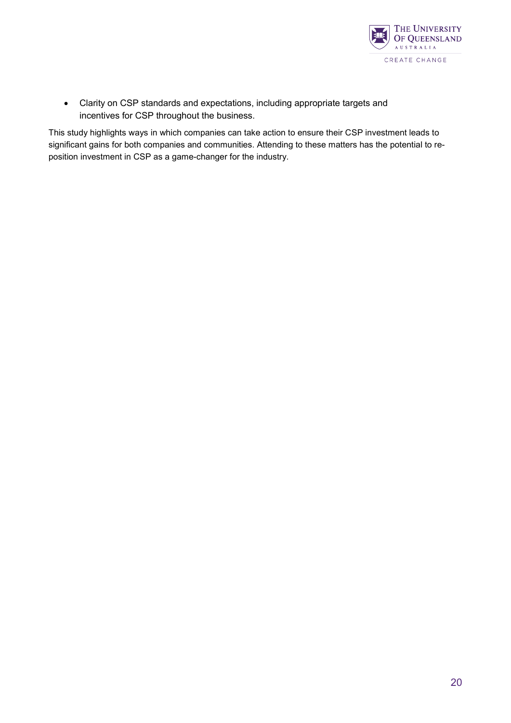

• Clarity on CSP standards and expectations, including appropriate targets and incentives for CSP throughout the business.

This study highlights ways in which companies can take action to ensure their CSP investment leads to significant gains for both companies and communities. Attending to these matters has the potential to reposition investment in CSP as a game-changer for the industry.